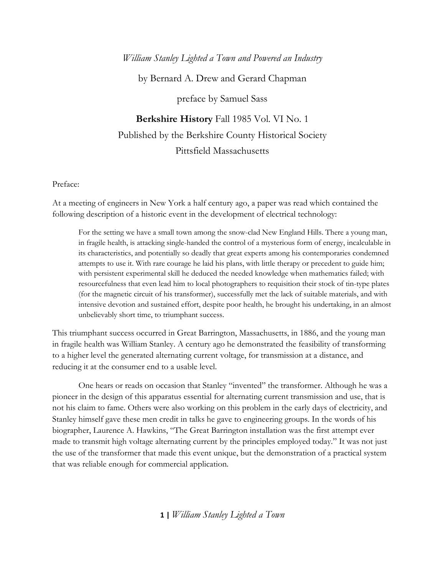## *William Stanley Lighted a Town and Powered an Industry*

by Bernard A. Drew and Gerard Chapman

preface by Samuel Sass

**Berkshire History** Fall 1985 Vol. VI No. 1 Published by the Berkshire County Historical Society Pittsfield Massachusetts

## Preface:

At a meeting of engineers in New York a half century ago, a paper was read which contained the following description of a historic event in the development of electrical technology:

For the setting we have a small town among the snow-clad New England Hills. There a young man, in fragile health, is attacking single-handed the control of a mysterious form of energy, incalculable in its characteristics, and potentially so deadly that great experts among his contemporaries condemned attempts to use it. With rare courage he laid his plans, with little therapy or precedent to guide him; with persistent experimental skill he deduced the needed knowledge when mathematics failed; with resourcefulness that even lead him to local photographers to requisition their stock of tin-type plates (for the magnetic circuit of his transformer), successfully met the lack of suitable materials, and with intensive devotion and sustained effort, despite poor health, he brought his undertaking, in an almost unbelievably short time, to triumphant success.

This triumphant success occurred in Great Barrington, Massachusetts, in 1886, and the young man in fragile health was William Stanley. A century ago he demonstrated the feasibility of transforming to a higher level the generated alternating current voltage, for transmission at a distance, and reducing it at the consumer end to a usable level.

One hears or reads on occasion that Stanley "invented" the transformer. Although he was a pioneer in the design of this apparatus essential for alternating current transmission and use, that is not his claim to fame. Others were also working on this problem in the early days of electricity, and Stanley himself gave these men credit in talks he gave to engineering groups. In the words of his biographer, Laurence A. Hawkins, "The Great Barrington installation was the first attempt ever made to transmit high voltage alternating current by the principles employed today." It was not just the use of the transformer that made this event unique, but the demonstration of a practical system that was reliable enough for commercial application.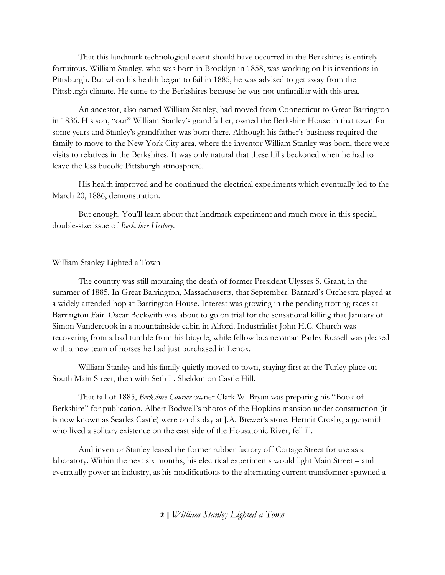That this landmark technological event should have occurred in the Berkshires is entirely fortuitous. William Stanley, who was born in Brooklyn in 1858, was working on his inventions in Pittsburgh. But when his health began to fail in 1885, he was advised to get away from the Pittsburgh climate. He came to the Berkshires because he was not unfamiliar with this area.

An ancestor, also named William Stanley, had moved from Connecticut to Great Barrington in 1836. His son, "our" William Stanley's grandfather, owned the Berkshire House in that town for some years and Stanley's grandfather was born there. Although his father's business required the family to move to the New York City area, where the inventor William Stanley was born, there were visits to relatives in the Berkshires. It was only natural that these hills beckoned when he had to leave the less bucolic Pittsburgh atmosphere.

His health improved and he continued the electrical experiments which eventually led to the March 20, 1886, demonstration.

But enough. You'll learn about that landmark experiment and much more in this special, double-size issue of *Berkshire History*.

## William Stanley Lighted a Town

The country was still mourning the death of former President Ulysses S. Grant, in the summer of 1885. In Great Barrington, Massachusetts, that September. Barnard's Orchestra played at a widely attended hop at Barrington House. Interest was growing in the pending trotting races at Barrington Fair. Oscar Beckwith was about to go on trial for the sensational killing that January of Simon Vandercook in a mountainside cabin in Alford. Industrialist John H.C. Church was recovering from a bad tumble from his bicycle, while fellow businessman Parley Russell was pleased with a new team of horses he had just purchased in Lenox.

William Stanley and his family quietly moved to town, staying first at the Turley place on South Main Street, then with Seth L. Sheldon on Castle Hill.

That fall of 1885, *Berkshire Courier* owner Clark W. Bryan was preparing his "Book of Berkshire" for publication. Albert Bodwell's photos of the Hopkins mansion under construction (it is now known as Searles Castle) were on display at J.A. Brewer's store. Hermit Crosby, a gunsmith who lived a solitary existence on the east side of the Housatonic River, fell ill.

And inventor Stanley leased the former rubber factory off Cottage Street for use as a laboratory. Within the next six months, his electrical experiments would light Main Street – and eventually power an industry, as his modifications to the alternating current transformer spawned a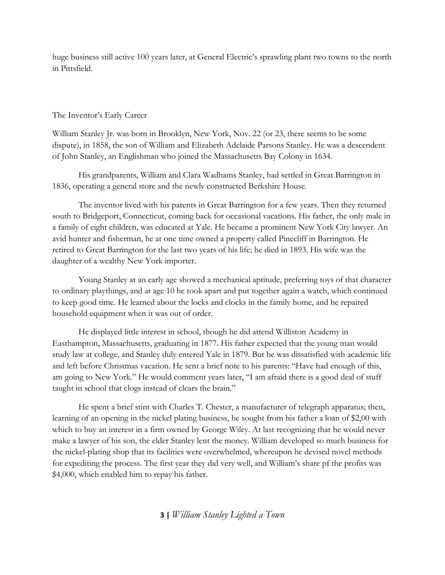huge business still active 100 years later, at General Electric's sprawling plant two towns to the north in Pittsfield.

## The Inventor's Early Career

William Stanley Jr. was born in Brooklyn, New York, Nov. 22 (or 23, there seems to be some dispute), in 1858, the son of William and Elizabeth Adelaide Parsons Stanley. He was a descendent of John Stanley, an Englishman who joined the Massachusetts Bay Colony in 1634.

His grandparents, William and Clara Wadhams Stanley, had settled in Great Barrington in 1836, operating a general store and the newly constructed Berkshire House.

The inventor lived with his parents in Great Barrington for a few years. Then they returned south to Bridgeport, Connecticut, coming back for occasional vacations. His father, the only male in a family of eight children, was educated at Yale. He became a prominent New York City lawyer. An avid hunter and fisherman, he at one time owned a property called Pinecliff in Barrington. He retired to Great Barrington for the last two years of his life; he died in 1893. His wife was the daughter of a wealthy New York importer.

Young Stanley at an early age showed a mechanical aptitude, preferring toys of that character to ordinary playthings, and at age 10 he took apart and put together again a watch, which continued to keep good time. He learned about the locks and clocks in the family home, and he repaired household equipment when it was out of order.

He displayed little interest in school, though he did attend Williston Academy in Easthampton, Massachusetts, graduating in 1877. His father expected that the young man would study law at college, and Stanley duly entered Yale in 1879. But he was dissatisfied with academic life and left before Christmas vacation. He sent a brief note to his parents: "Have had enough of this, am going to New York." He would comment years later, "I am afraid there is a good deal of stuff taught in school that clogs instead of clears the brain."

He spent a brief stint with Charles T. Chester, a manufacturer of telegraph apparatus; then, learning of an opening in the nickel plating business, he sought from his father a loan of \$2,00 with which to buy an interest in a firm owned by George Wiley. At last recognizing that he would never make a lawyer of his son, the elder Stanley lent the money. William developed so much business for the nickel-plating shop that its facilities were overwhelmed, whereupon he devised novel methods for expediting the process. The first year they did very well, and William's share pf the profits was \$4,000, which enabled him to repay his father.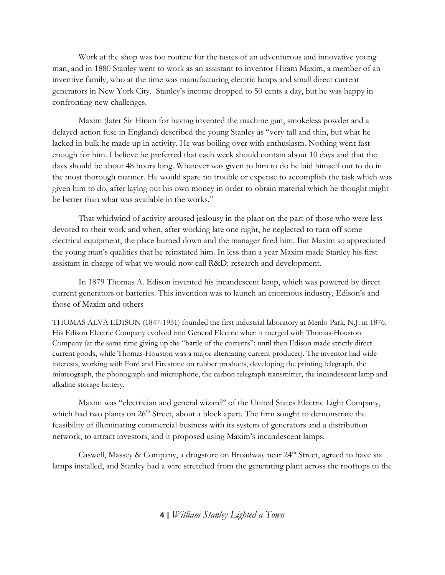Work at the shop was too routine for the tastes of an adventurous and innovative young man, and in 1880 Stanley went to work as an assistant to inventor Hiram Maxim, a member of an inventive family, who at the time was manufacturing electric lamps and small direct current generators in New York City. Stanley's income dropped to 50 cents a day, but he was happy in confronting new challenges.

Maxim (later Sir Hiram for having invented the machine gun, smokeless powder and a delayed-action fuse in England) described the young Stanley as "very tall and thin, but what he lacked in bulk he made up in activity. He was boiling over with enthusiasm. Nothing went fast enough for him. I believe he preferred that each week should contain about 10 days and that the days should be about 48 hours long. Whatever was given to him to do he laid himself out to do in the most thorough manner. He would spare no trouble or expense to accomplish the task which was given him to do, after laying out his own money in order to obtain material which he thought might be better than what was available in the works."

That whirlwind of activity aroused jealousy in the plant on the part of those who were less devoted to their work and when, after working late one night, he neglected to turn off some electrical equipment, the place burned down and the manager fired him. But Maxim so appreciated the young man's qualities that he reinstated him. In less than a year Maxim made Stanley his first assistant in charge of what we would now call R&D: research and development.

In 1879 Thomas A. Edison invented his incandescent lamp, which was powered by direct current generators or batteries. This invention was to launch an enormous industry, Edison's and those of Maxim and others

THOMAS ALVA EDISON (1847-1931) founded the first industrial laboratory at Menlo Park, N.J. in 1876. His Edison Electric Company evolved into General Electric when it merged with Thomas-Houston Company (at the same time giving up the "battle of the currents": until then Edison made strictly direct current goods, while Thomas-Houston was a major alternating current producer). The inventor had wide interests, working with Ford and Firestone on rubber products, developing the printing telegraph, the mimeograph, the phonograph and microphone, the carbon telegraph transmitter, the incandescent lamp and alkaline storage battery.

Maxim was "electrician and general wizard" of the United States Electric Light Company, which had two plants on  $26<sup>th</sup>$  Street, about a block apart. The firm sought to demonstrate the feasibility of illuminating commercial business with its system of generators and a distribution network, to attract investors, and it proposed using Maxim's incandescent lamps.

Caswell, Massey & Company, a drugstore on Broadway near  $24<sup>th</sup>$  Street, agreed to have six lamps installed, and Stanley had a wire stretched from the generating plant across the rooftops to the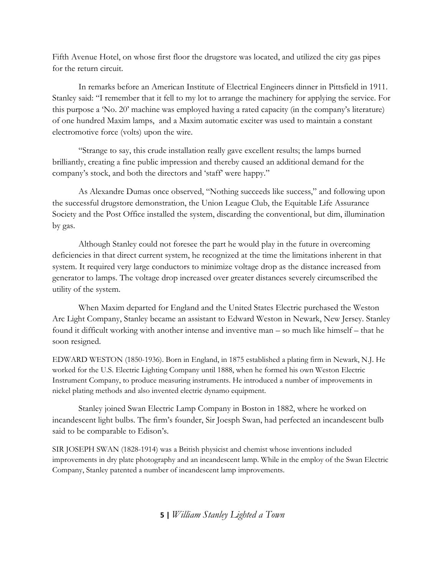Fifth Avenue Hotel, on whose first floor the drugstore was located, and utilized the city gas pipes for the return circuit.

In remarks before an American Institute of Electrical Engineers dinner in Pittsfield in 1911. Stanley said: "I remember that it fell to my lot to arrange the machinery for applying the service. For this purpose a 'No. 20' machine was employed having a rated capacity (in the company's literature) of one hundred Maxim lamps, and a Maxim automatic exciter was used to maintain a constant electromotive force (volts) upon the wire.

"Strange to say, this crude installation really gave excellent results; the lamps burned brilliantly, creating a fine public impression and thereby caused an additional demand for the company's stock, and both the directors and 'staff' were happy."

As Alexandre Dumas once observed, "Nothing succeeds like success," and following upon the successful drugstore demonstration, the Union League Club, the Equitable Life Assurance Society and the Post Office installed the system, discarding the conventional, but dim, illumination by gas.

Although Stanley could not foresee the part he would play in the future in overcoming deficiencies in that direct current system, he recognized at the time the limitations inherent in that system. It required very large conductors to minimize voltage drop as the distance increased from generator to lamps. The voltage drop increased over greater distances severely circumscribed the utility of the system.

When Maxim departed for England and the United States Electric purchased the Weston Arc Light Company, Stanley became an assistant to Edward Weston in Newark, New Jersey. Stanley found it difficult working with another intense and inventive man – so much like himself – that he soon resigned.

EDWARD WESTON (1850-1936). Born in England, in 1875 established a plating firm in Newark, N.J. He worked for the U.S. Electric Lighting Company until 1888, when he formed his own Weston Electric Instrument Company, to produce measuring instruments. He introduced a number of improvements in nickel plating methods and also invented electric dynamo equipment.

Stanley joined Swan Electric Lamp Company in Boston in 1882, where he worked on incandescent light bulbs. The firm's founder, Sir Joesph Swan, had perfected an incandescent bulb said to be comparable to Edison's.

SIR JOSEPH SWAN (1828-1914) was a British physicist and chemist whose inventions included improvements in dry plate photography and an incandescent lamp. While in the employ of the Swan Electric Company, Stanley patented a number of incandescent lamp improvements.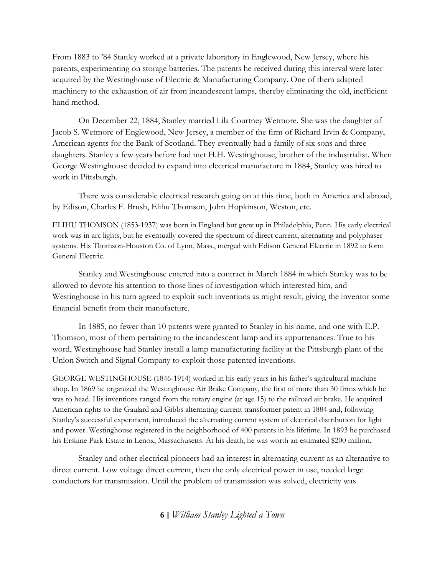From 1883 to '84 Stanley worked at a private laboratory in Englewood, New Jersey, where his parents, experimenting on storage batteries. The patents he received during this interval were later acquired by the Westinghouse of Electric & Manufacturing Company. One of them adapted machinery to the exhaustion of air from incandescent lamps, thereby eliminating the old, inefficient hand method.

On December 22, 1884, Stanley married Lila Courtney Wetmore. She was the daughter of Jacob S. Wetmore of Englewood, New Jersey, a member of the firm of Richard Irvin & Company, American agents for the Bank of Scotland. They eventually had a family of six sons and three daughters. Stanley a few years before had met H.H. Westinghouse, brother of the industrialist. When George Westinghouse decided to expand into electrical manufacture in 1884, Stanley was hired to work in Pittsburgh.

There was considerable electrical research going on at this time, both in America and abroad, by Edison, Charles F. Brush, Elihu Thomson, John Hopkinson, Weston, etc.

ELIHU THOMSON (1853-1937) was born in England but grew up in Philadelphia, Penn. His early electrical work was in arc lights, but he eventually covered the spectrum of direct current, alternating and polyphaser systems. His Thomson-Houston Co. of Lynn, Mass., merged with Edison General Electric in 1892 to form General Electric.

Stanley and Westinghouse entered into a contract in March 1884 in which Stanley was to be allowed to devote his attention to those lines of investigation which interested him, and Westinghouse in his turn agreed to exploit such inventions as might result, giving the inventor some financial benefit from their manufacture.

In 1885, no fewer than 10 patents were granted to Stanley in his name, and one with E.P. Thomson, most of them pertaining to the incandescent lamp and its appurtenances. True to his word, Westinghouse had Stanley install a lamp manufacturing facility at the Pittsburgh plant of the Union Switch and Signal Company to exploit those patented inventions.

GEORGE WESTINGHOUSE (1846-1914) worked in his early years in his father's agricultural machine shop. In 1869 he organized the Westinghouse Air Brake Company, the first of more than 30 firms which he was to head. His inventions ranged from the rotary engine (at age 15) to the railroad air brake. He acquired American rights to the Gaulard and Gibbs alternating current transformer patent in 1884 and, following Stanley's successful experiment, introduced the alternating current system of electrical distribution for light and power. Westinghouse registered in the neighborhood of 400 patents in his lifetime. In 1893 he purchased his Erskine Park Estate in Lenox, Massachusetts. At his death, he was worth an estimated \$200 million.

Stanley and other electrical pioneers had an interest in alternating current as an alternative to direct current. Low voltage direct current, then the only electrical power in use, needed large conductors for transmission. Until the problem of transmission was solved, electricity was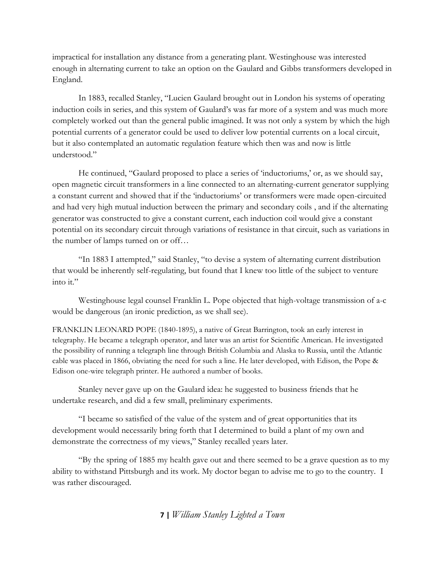impractical for installation any distance from a generating plant. Westinghouse was interested enough in alternating current to take an option on the Gaulard and Gibbs transformers developed in England.

In 1883, recalled Stanley, "Lucien Gaulard brought out in London his systems of operating induction coils in series, and this system of Gaulard's was far more of a system and was much more completely worked out than the general public imagined. It was not only a system by which the high potential currents of a generator could be used to deliver low potential currents on a local circuit, but it also contemplated an automatic regulation feature which then was and now is little understood."

He continued, "Gaulard proposed to place a series of 'inductoriums,' or, as we should say, open magnetic circuit transformers in a line connected to an alternating-current generator supplying a constant current and showed that if the 'inductoriums' or transformers were made open-circuited and had very high mutual induction between the primary and secondary coils , and if the alternating generator was constructed to give a constant current, each induction coil would give a constant potential on its secondary circuit through variations of resistance in that circuit, such as variations in the number of lamps turned on or off…

"In 1883 I attempted," said Stanley, "to devise a system of alternating current distribution that would be inherently self-regulating, but found that I knew too little of the subject to venture into it."

Westinghouse legal counsel Franklin L. Pope objected that high-voltage transmission of a-c would be dangerous (an ironic prediction, as we shall see).

FRANKLIN LEONARD POPE (1840-1895), a native of Great Barrington, took an early interest in telegraphy. He became a telegraph operator, and later was an artist for Scientific American. He investigated the possibility of running a telegraph line through British Columbia and Alaska to Russia, until the Atlantic cable was placed in 1866, obviating the need for such a line. He later developed, with Edison, the Pope & Edison one-wire telegraph printer. He authored a number of books.

Stanley never gave up on the Gaulard idea: he suggested to business friends that he undertake research, and did a few small, preliminary experiments.

"I became so satisfied of the value of the system and of great opportunities that its development would necessarily bring forth that I determined to build a plant of my own and demonstrate the correctness of my views," Stanley recalled years later.

"By the spring of 1885 my health gave out and there seemed to be a grave question as to my ability to withstand Pittsburgh and its work. My doctor began to advise me to go to the country. I was rather discouraged.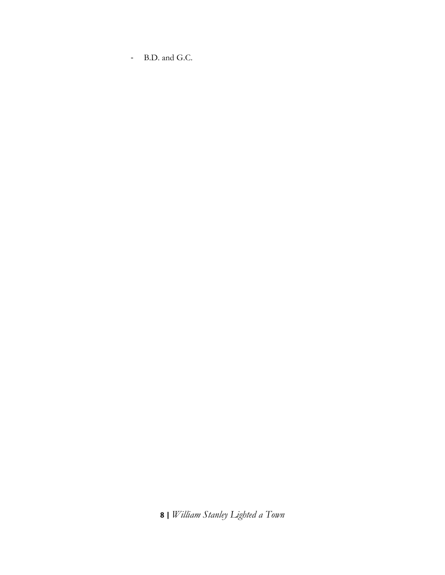- B.D. and G.C.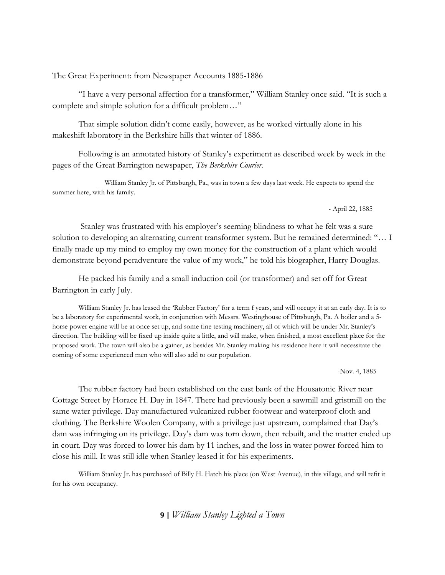The Great Experiment: from Newspaper Accounts 1885-1886

"I have a very personal affection for a transformer," William Stanley once said. "It is such a complete and simple solution for a difficult problem…"

That simple solution didn't come easily, however, as he worked virtually alone in his makeshift laboratory in the Berkshire hills that winter of 1886.

Following is an annotated history of Stanley's experiment as described week by week in the pages of the Great Barrington newspaper, *The Berkshire Courier*.

William Stanley Jr. of Pittsburgh, Pa., was in town a few days last week. He expects to spend the summer here, with his family.

- April 22, 1885

 Stanley was frustrated with his employer's seeming blindness to what he felt was a sure solution to developing an alternating current transformer system. But he remained determined: "… I finally made up my mind to employ my own money for the construction of a plant which would demonstrate beyond peradventure the value of my work," he told his biographer, Harry Douglas.

He packed his family and a small induction coil (or transformer) and set off for Great Barrington in early July.

William Stanley Jr. has leased the 'Rubber Factory' for a term f years, and will occupy it at an early day. It is to be a laboratory for experimental work, in conjunction with Messrs. Westinghouse of Pittsburgh, Pa. A boiler and a 5 horse power engine will be at once set up, and some fine testing machinery, all of which will be under Mr. Stanley's direction. The building will be fixed up inside quite a little, and will make, when finished, a most excellent place for the proposed work. The town will also be a gainer, as besides Mr. Stanley making his residence here it will necessitate the coming of some experienced men who will also add to our population.

-Nov. 4, 1885

The rubber factory had been established on the east bank of the Housatonic River near Cottage Street by Horace H. Day in 1847. There had previously been a sawmill and gristmill on the same water privilege. Day manufactured vulcanized rubber footwear and waterproof cloth and clothing. The Berkshire Woolen Company, with a privilege just upstream, complained that Day's dam was infringing on its privilege. Day's dam was torn down, then rebuilt, and the matter ended up in court. Day was forced to lower his dam by 11 inches, and the loss in water power forced him to close his mill. It was still idle when Stanley leased it for his experiments.

William Stanley Jr. has purchased of Billy H. Hatch his place (on West Avenue), in this village, and will refit it for his own occupancy.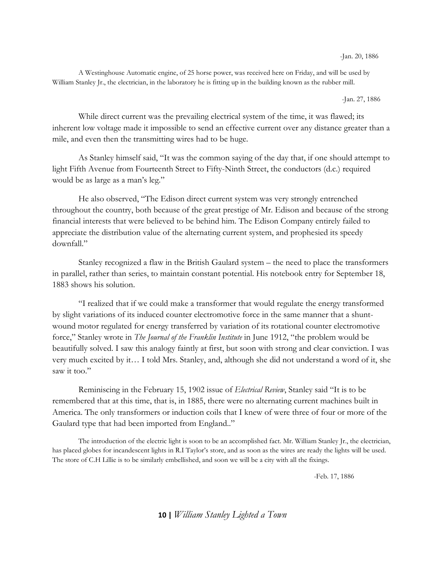-Jan. 20, 1886

A Westinghouse Automatic engine, of 25 horse power, was received here on Friday, and will be used by William Stanley Jr., the electrician, in the laboratory he is fitting up in the building known as the rubber mill.

-Jan. 27, 1886

While direct current was the prevailing electrical system of the time, it was flawed; its inherent low voltage made it impossible to send an effective current over any distance greater than a mile, and even then the transmitting wires had to be huge.

As Stanley himself said, "It was the common saying of the day that, if one should attempt to light Fifth Avenue from Fourteenth Street to Fifty-Ninth Street, the conductors (d.c.) required would be as large as a man's leg."

He also observed, "The Edison direct current system was very strongly entrenched throughout the country, both because of the great prestige of Mr. Edison and because of the strong financial interests that were believed to be behind him. The Edison Company entirely failed to appreciate the distribution value of the alternating current system, and prophesied its speedy downfall."

Stanley recognized a flaw in the British Gaulard system – the need to place the transformers in parallel, rather than series, to maintain constant potential. His notebook entry for September 18, 1883 shows his solution.

"I realized that if we could make a transformer that would regulate the energy transformed by slight variations of its induced counter electromotive force in the same manner that a shuntwound motor regulated for energy transferred by variation of its rotational counter electromotive force," Stanley wrote in *The Journal of the Franklin Institute* in June 1912, "the problem would be beautifully solved. I saw this analogy faintly at first, but soon with strong and clear conviction. I was very much excited by it… I told Mrs. Stanley, and, although she did not understand a word of it, she saw it too."

Reminiscing in the February 15, 1902 issue of *Electrical Review*, Stanley said "It is to be remembered that at this time, that is, in 1885, there were no alternating current machines built in America. The only transformers or induction coils that I knew of were three of four or more of the Gaulard type that had been imported from England.."

The introduction of the electric light is soon to be an accomplished fact. Mr. William Stanley Jr., the electrician, has placed globes for incandescent lights in R.I Taylor's store, and as soon as the wires are ready the lights will be used. The store of C.H Lillie is to be similarly embellished, and soon we will be a city with all the fixings.

-Feb. 17, 1886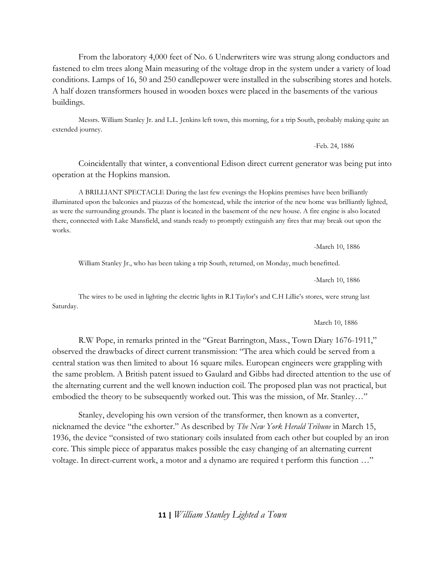From the laboratory 4,000 feet of No. 6 Underwriters wire was strung along conductors and fastened to elm trees along Main measuring of the voltage drop in the system under a variety of load conditions. Lamps of 16, 50 and 250 candlepower were installed in the subscribing stores and hotels. A half dozen transformers housed in wooden boxes were placed in the basements of the various buildings.

Messrs. William Stanley Jr. and L.L. Jenkins left town, this morning, for a trip South, probably making quite an extended journey.

-Feb. 24, 1886

Coincidentally that winter, a conventional Edison direct current generator was being put into operation at the Hopkins mansion.

A BRILLIANT SPECTACLE During the last few evenings the Hopkins premises have been brilliantly illuminated upon the balconies and piazzas of the homestead, while the interior of the new home was brilliantly lighted, as were the surrounding grounds. The plant is located in the basement of the new house. A fire engine is also located there, connected with Lake Mansfield, and stands ready to promptly extinguish any fires that may break out upon the works.

-March 10, 1886

William Stanley Jr., who has been taking a trip South, returned, on Monday, much benefitted.

-March 10, 1886

The wires to be used in lighting the electric lights in R.I Taylor's and C.H Lillie's stores, were strung last Saturday.

March 10, 1886

R.W Pope, in remarks printed in the "Great Barrington, Mass., Town Diary 1676-1911," observed the drawbacks of direct current transmission: "The area which could be served from a central station was then limited to about 16 square miles. European engineers were grappling with the same problem. A British patent issued to Gaulard and Gibbs had directed attention to the use of the alternating current and the well known induction coil. The proposed plan was not practical, but embodied the theory to be subsequently worked out. This was the mission, of Mr. Stanley…"

Stanley, developing his own version of the transformer, then known as a converter, nicknamed the device "the exhorter." As described by *The New York Herald Tribune* in March 15, 1936, the device "consisted of two stationary coils insulated from each other but coupled by an iron core. This simple piece of apparatus makes possible the easy changing of an alternating current voltage. In direct-current work, a motor and a dynamo are required t perform this function …"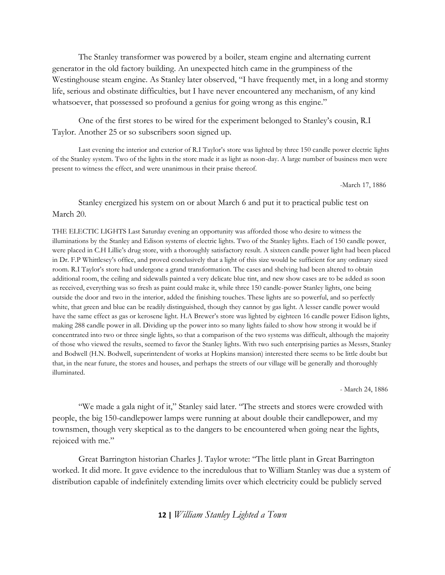The Stanley transformer was powered by a boiler, steam engine and alternating current generator in the old factory building. An unexpected hitch came in the grumpiness of the Westinghouse steam engine. As Stanley later observed, "I have frequently met, in a long and stormy life, serious and obstinate difficulties, but I have never encountered any mechanism, of any kind whatsoever, that possessed so profound a genius for going wrong as this engine."

One of the first stores to be wired for the experiment belonged to Stanley's cousin, R.I Taylor. Another 25 or so subscribers soon signed up.

Last evening the interior and exterior of R.I Taylor's store was lighted by three 150 candle power electric lights of the Stanley system. Two of the lights in the store made it as light as noon-day. A large number of business men were present to witness the effect, and were unanimous in their praise thereof.

-March 17, 1886

Stanley energized his system on or about March 6 and put it to practical public test on March 20.

THE ELECTIC LIGHTS Last Saturday evening an opportunity was afforded those who desire to witness the illuminations by the Stanley and Edison systems of electric lights. Two of the Stanley lights. Each of 150 candle power, were placed in C.H Lillie's drug store, with a thoroughly satisfactory result. A sixteen candle power light had been placed in Dr. F.P Whittlesey's office, and proved conclusively that a light of this size would be sufficient for any ordinary sized room. R.I Taylor's store had undergone a grand transformation. The cases and shelving had been altered to obtain additional room, the ceiling and sidewalls painted a very delicate blue tint, and new show cases are to be added as soon as received, everything was so fresh as paint could make it, while three 150 candle-power Stanley lights, one being outside the door and two in the interior, added the finishing touches. These lights are so powerful, and so perfectly white, that green and blue can be readily distinguished, though they cannot by gas light. A lesser candle power would have the same effect as gas or kerosene light. H.A Brewer's store was lighted by eighteen 16 candle power Edison lights, making 288 candle power in all. Dividing up the power into so many lights failed to show how strong it would be if concentrated into two or three single lights, so that a comparison of the two systems was difficult, although the majority of those who viewed the results, seemed to favor the Stanley lights. With two such enterprising parties as Messrs, Stanley and Bodwell (H.N. Bodwell, superintendent of works at Hopkins mansion) interested there seems to be little doubt but that, in the near future, the stores and houses, and perhaps the streets of our village will be generally and thoroughly illuminated.

- March 24, 1886

"We made a gala night of it," Stanley said later. "The streets and stores were crowded with people, the big 150-candlepower lamps were running at about double their candlepower, and my townsmen, though very skeptical as to the dangers to be encountered when going near the lights, rejoiced with me."

Great Barrington historian Charles J. Taylor wrote: "The little plant in Great Barrington worked. It did more. It gave evidence to the incredulous that to William Stanley was due a system of distribution capable of indefinitely extending limits over which electricity could be publicly served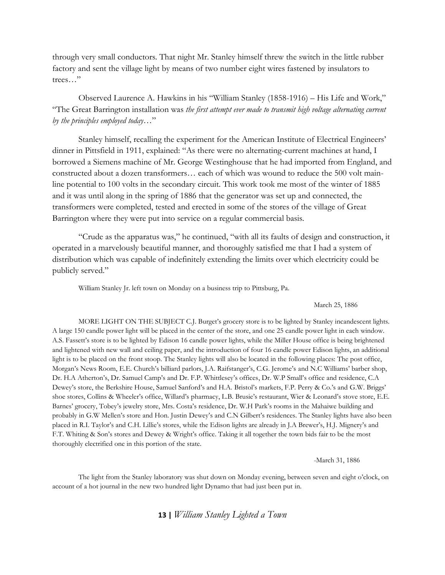through very small conductors. That night Mr. Stanley himself threw the switch in the little rubber factory and sent the village light by means of two number eight wires fastened by insulators to trees…"

Observed Laurence A. Hawkins in his "William Stanley (1858-1916) – His Life and Work," "The Great Barrington installation was *the first attempt ever made to transmit high voltage alternating current by the principles employed today…*"

Stanley himself, recalling the experiment for the American Institute of Electrical Engineers' dinner in Pittsfield in 1911, explained: "As there were no alternating-current machines at hand, I borrowed a Siemens machine of Mr. George Westinghouse that he had imported from England, and constructed about a dozen transformers… each of which was wound to reduce the 500 volt mainline potential to 100 volts in the secondary circuit. This work took me most of the winter of 1885 and it was until along in the spring of 1886 that the generator was set up and connected, the transformers were completed, tested and erected in some of the stores of the village of Great Barrington where they were put into service on a regular commercial basis.

"Crude as the apparatus was," he continued, "with all its faults of design and construction, it operated in a marvelously beautiful manner, and thoroughly satisfied me that I had a system of distribution which was capable of indefinitely extending the limits over which electricity could be publicly served."

William Stanley Jr. left town on Monday on a business trip to Pittsburg, Pa.

#### March 25, 1886

MORE LIGHT ON THE SUBJECT C.J. Burget's grocery store is to be lighted by Stanley incandescent lights. A large 150 candle power light will be placed in the center of the store, and one 25 candle power light in each window. A.S. Fassett's store is to be lighted by Edison 16 candle power lights, while the Miller House office is being brightened and lightened with new wall and ceiling paper, and the introduction of four 16 candle power Edison lights, an additional light is to be placed on the front stoop. The Stanley lights will also be located in the following places: The post office, Morgan's News Room, E.E. Church's billiard parlors, J.A. Raifstanger's, C.G. Jerome's and N.C Williams' barber shop, Dr. H.A Atherton's, Dr. Samuel Camp's and Dr. F.P. Whittlesey's offices, Dr. W.P Small's office and residence, C.A Dewey's store, the Berkshire House, Samuel Sanford's and H.A. Bristol's markets, F.P. Perry & Co.'s and G.W. Briggs' shoe stores, Collins & Wheeler's office, Willard's pharmacy, L.B. Brusie's restaurant, Wier & Leonard's stove store, E.E. Barnes' grocery, Tobey's jewelry store, Mrs. Costa's residence, Dr. W.H Park's rooms in the Mahaiwe building and probably in G.W Mellen's store and Hon. Justin Dewey's and C.N Gilbert's residences. The Stanley lights have also been placed in R.I. Taylor's and C.H. Lillie's stores, while the Edison lights are already in J.A Brewer's, H.J. Mignery's and F.T. Whiting & Son's stores and Dewey & Wright's office. Taking it all together the town bids fair to be the most thoroughly electrified one in this portion of the state.

-March 31, 1886

The light from the Stanley laboratory was shut down on Monday evening, between seven and eight o'clock, on account of a hot journal in the new two hundred light Dynamo that had just been put in.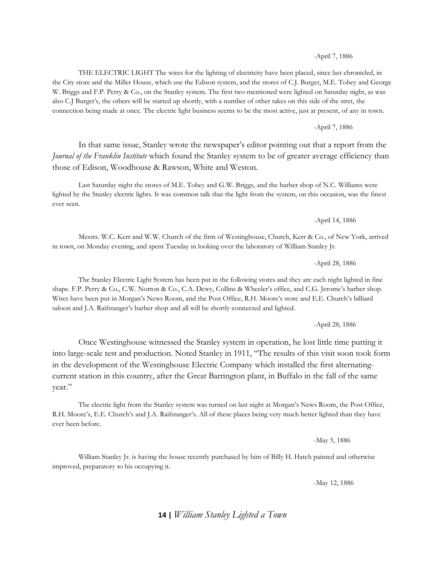-April 7, 1886

THE ELECTRIC LIGHT The wires for the lighting of electricity have been placed, since last chronicled, in the City store and the Miller House, which use the Edison system, and the stores of C.J. Burget, M.E. Tobey and George W. Briggs and F.P. Perry & Co., on the Stanley system. The first two mentioned were lighted on Saturday night, as was also C.J Burget's, the others will be started up shortly, with a number of other takes on this side of the stret, the connection being made at once. The electric light business seems to be the most active, just at present, of any in town.

-April 7, 1886

In that same issue, Stanley wrote the newspaper's editor pointing out that a report from the *Journal of the Franklin Institute* which found the Stanley system to be of greater average efficiency than those of Edison, Woodhouse & Rawson, White and Weston.

Last Saturday night the stores of M.E. Tobey and G.W. Briggs, and the barber shop of N.C. Williams were lighted by the Stanley electric lights. It was common talk that the light from the system, on this occasion, was the finest ever seen.

-April 14, 1886

Messrs. W.C. Kerr and W.W. Church of the firm of Westinghouse, Church, Kerr & Co., of New York, arrived in town, on Monday evening, and spent Tuesday in looking over the laboratory of William Stanley Jr.

-April 28, 1886

The Stanley Electric Light System has been put in the following stores and they are each night lighted in fine shape. F.P. Perry & Co., C.W. Norton & Co., C.A. Dewy, Collins & Wheeler's office, and C.G. Jerome's barber shop. Wires have been put in Morgan's News Room, and the Post Office, R.H. Moore's store and E.E. Church's billiard saloon and J.A. Raifstanger's barber shop and all will be shortly connected and lighted.

-April 28, 1886

Once Westinghouse witnessed the Stanley system in operation, he lost little time putting it into large-scale test and production. Noted Stanley in 1911, "The results of this visit soon took form in the development of the Westinghouse Electric Company which installed the first alternatingcurrent station in this country, after the Great Barrington plant, in Buffalo in the fall of the same year."

The electric light from the Stanley system was turned on last night at Morgan's News Room, the Post Office, R.H. Moore's, E.E. Church's and J.A. Raifstanger's. All of these places being very much better lighted than they have ever been before.

-May 5, 1886

William Stanley Jr. is having the house recently purchased by him of Billy H. Hatch painted and otherwise improved, preparatory to his occupying it.

-May 12, 1886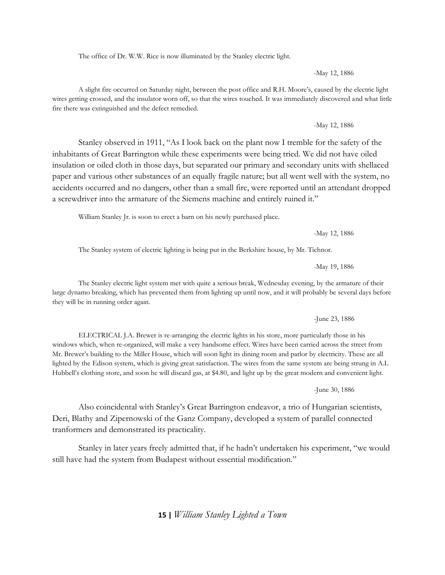The office of Dr. W.W. Rice is now illuminated by the Stanley electric light.

-May 12, 1886

A slight fire occurred on Saturday night, between the post office and R.H. Moore's, caused by the electric light wires getting crossed, and the insulator worn off, so that the wires touched. It was immediately discovered and what little fire there was extinguished and the defect remedied.

-May 12, 1886

Stanley observed in 1911, "As I look back on the plant now I tremble for the safety of the inhabitants of Great Barrington while these experiments were being tried. We did not have oiled insulation or oiled cloth in those days, but separated our primary and secondary units with shellaced paper and various other substances of an equally fragile nature; but all went well with the system, no accidents occurred and no dangers, other than a small fire, were reported until an attendant dropped a screwdriver into the armature of the Siemens machine and entirely ruined it."

William Stanley Jr. is soon to erect a barn on his newly purchased place.

-May 12, 1886

The Stanley system of electric lighting is being put in the Berkshire house, by Mr. Tichnor.

-May 19, 1886

The Stanley electric light system met with quite a serious break, Wednesday evening, by the armature of their large dynamo breaking, which has prevented them from lighting up until now, and it will probably be several days before they will be in running order again.

-June 23, 1886

ELECTRICAL J.A. Brewer is re-arranging the electric lights in his store, more particularly those in his windows which, when re-organized, will make a very handsome effect. Wires have been carried across the street from Mr. Brewer's building to the Miller House, which will soon light its dining room and parlor by electricity. These are all lighted by the Edison system, which is giving great satisfaction. The wires from the same system are being strung in A.L Hubbell's clothing store, and soon he will discard gas, at \$4.80, and light up by the great modern and convenient light.

-June 30, 1886

Also coincidental with Stanley's Great Barrington endeavor, a trio of Hungarian scientists, Deri, Blathy and Zipernowski of the Ganz Company, developed a system of parallel connected tranformers and demonstrated its practicality.

Stanley in later years freely admitted that, if he hadn't undertaken his experiment, "we would still have had the system from Budapest without essential modification."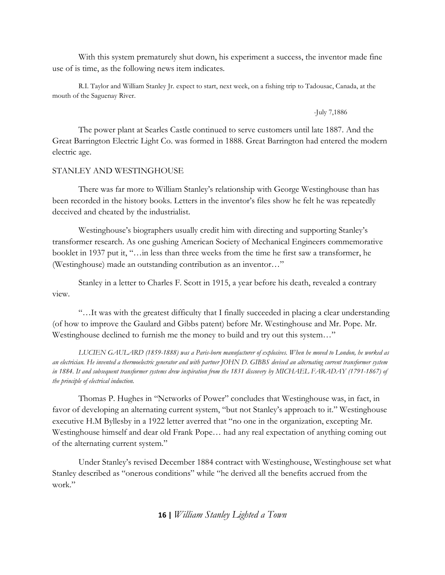With this system prematurely shut down, his experiment a success, the inventor made fine use of is time, as the following news item indicates.

R.I. Taylor and William Stanley Jr. expect to start, next week, on a fishing trip to Tadousac, Canada, at the mouth of the Saguenay River.

-July 7,1886

The power plant at Searles Castle continued to serve customers until late 1887. And the Great Barrington Electric Light Co. was formed in 1888. Great Barrington had entered the modern electric age.

#### STANLEY AND WESTINGHOUSE

There was far more to William Stanley's relationship with George Westinghouse than has been recorded in the history books. Letters in the inventor's files show he felt he was repeatedly deceived and cheated by the industrialist.

Westinghouse's biographers usually credit him with directing and supporting Stanley's transformer research. As one gushing American Society of Mechanical Engineers commemorative booklet in 1937 put it, "…in less than three weeks from the time he first saw a transformer, he (Westinghouse) made an outstanding contribution as an inventor…"

Stanley in a letter to Charles F. Scott in 1915, a year before his death, revealed a contrary view.

"…It was with the greatest difficulty that I finally succeeded in placing a clear understanding (of how to improve the Gaulard and Gibbs patent) before Mr. Westinghouse and Mr. Pope. Mr. Westinghouse declined to furnish me the money to build and try out this system…"

*LUCIEN GAULARD (1859-1888) was a Paris-born manufacturer of explosives. When he moved to London, he worked as an electrician. He invented a thermoelectric generator and with partner JOHN D. GIBBS devised an alternating current transformer system in 1884. It and subsequent transformer systems drew inspiration from the 1831 discovery by MICHAEL FARADAY (1791-1867) of the principle of electrical induction.* 

Thomas P. Hughes in "Networks of Power" concludes that Westinghouse was, in fact, in favor of developing an alternating current system, "but not Stanley's approach to it." Westinghouse executive H.M Byllesby in a 1922 letter averred that "no one in the organization, excepting Mr. Westinghouse himself and dear old Frank Pope… had any real expectation of anything coming out of the alternating current system."

Under Stanley's revised December 1884 contract with Westinghouse, Westinghouse set what Stanley described as "onerous conditions" while "he derived all the benefits accrued from the work."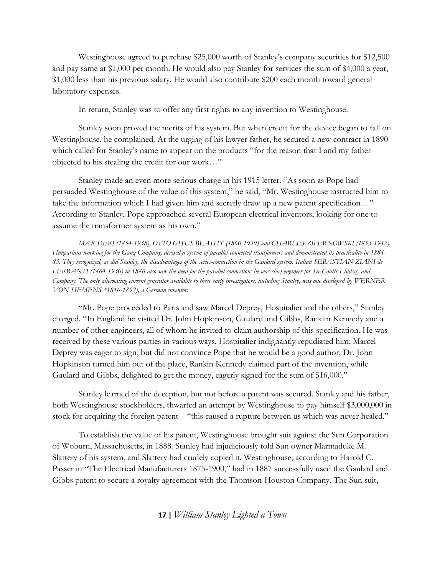Westinghouse agreed to purchase \$25,000 worth of Stanley's company securities for \$12,500 and pay same at \$1,000 per month. He would also pay Stanley for services the sum of \$4,000 a year, \$1,000 less than his previous salary. He would also contribute \$200 each month toward general laboratory expenses.

In return, Stanley was to offer any first rights to any invention to Westinghouse.

Stanley soon proved the merits of his system. But when credit for the device began to fall on Westinghouse, he complained. At the urging of his lawyer father, he secured a new contract in 1890 which called for Stanley's name to appear on the products "for the reason that I and my father objected to his stealing the credit for our work…"

Stanley made an even more serious charge in his 1915 letter. "As soon as Pope had persuaded Westinghouse of the value of this system," he said, "Mr. Westinghouse instructed him to take the information which I had given him and secretly draw up a new patent specification…" According to Stanley, Pope approached several European electrical inventors, looking for one to assume the transformer system as his own."

*MAX DERI (1854-1938), OTTO GITUS BLATHY (1860-1939) and CHARLES ZIPERNOWSKI (1853-1942), Hungarians working for the Ganz Company, devised a system of parallel-connected transformers and demonstrated its practicality in 1884- 85. They recognized, as did Stanley, the disadvantages of the series-connection in the Gaulard system. Italian SEBASTIAN ZIANI de FERRANTI (1864-1930) in 1886 also saw the need for the parallel connection; he was chief engineer for Sir Coutts Lindsay and Company. The only alternating current generator available to these early investigators, including Stanley, was one developed by WERNER VON SIEMENS \*1816-1892), a German inventor.* 

"Mr. Pope proceeded to Paris and saw Marcel Deprey, Hospitalier and the others," Stanley charged. "In England he visited Dr. John Hopkinson, Gaulard and Gibbs, Ranklin Kennedy and a number of other engineers, all of whom he invited to claim authorship of this specification. He was received by these various parties in various ways. Hospitalier indignantly repudiated him; Marcel Deprey was eager to sign, but did not convince Pope that he would be a good author, Dr. John Hopkinson turned him out of the place, Rankin Kennedy claimed part of the invention, while Gaulard and Gibbs, delighted to get the money, eagerly signed for the sum of \$16,000."

Stanley learned of the deception, but not before a patent was secured. Stanley and his father, both Westinghouse stockholders, thwarted an attempt by Westinghouse to pay himself \$3,000,000 in stock for acquiring the foreign patent – "this caused a rupture between us which was never healed."

To establish the value of his patent, Westinghouse brought suit against the Sun Corporation of Woburn, Massachusetts, in 1888. Stanley had injudiciously told Sun owner Marmaduke M. Slattery of his system, and Slattery had crudely copied it. Westinghouse, according to Harold C. Passer in "The Electrical Manufacturers 1875-1900," had in 1887 successfully used the Gaulard and Gibbs patent to secure a royalty agreement with the Thomson-Houston Company. The Sun suit,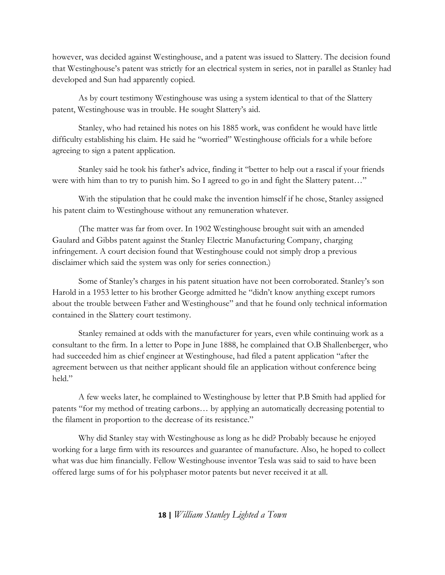however, was decided against Westinghouse, and a patent was issued to Slattery. The decision found that Westinghouse's patent was strictly for an electrical system in series, not in parallel as Stanley had developed and Sun had apparently copied.

As by court testimony Westinghouse was using a system identical to that of the Slattery patent, Westinghouse was in trouble. He sought Slattery's aid.

Stanley, who had retained his notes on his 1885 work, was confident he would have little difficulty establishing his claim. He said he "worried" Westinghouse officials for a while before agreeing to sign a patent application.

Stanley said he took his father's advice, finding it "better to help out a rascal if your friends were with him than to try to punish him. So I agreed to go in and fight the Slattery patent..."

With the stipulation that he could make the invention himself if he chose, Stanley assigned his patent claim to Westinghouse without any remuneration whatever.

(The matter was far from over. In 1902 Westinghouse brought suit with an amended Gaulard and Gibbs patent against the Stanley Electric Manufacturing Company, charging infringement. A court decision found that Westinghouse could not simply drop a previous disclaimer which said the system was only for series connection.)

Some of Stanley's charges in his patent situation have not been corroborated. Stanley's son Harold in a 1953 letter to his brother George admitted he "didn't know anything except rumors about the trouble between Father and Westinghouse" and that he found only technical information contained in the Slattery court testimony.

Stanley remained at odds with the manufacturer for years, even while continuing work as a consultant to the firm. In a letter to Pope in June 1888, he complained that O.B Shallenberger, who had succeeded him as chief engineer at Westinghouse, had filed a patent application "after the agreement between us that neither applicant should file an application without conference being held."

A few weeks later, he complained to Westinghouse by letter that P.B Smith had applied for patents "for my method of treating carbons… by applying an automatically decreasing potential to the filament in proportion to the decrease of its resistance."

Why did Stanley stay with Westinghouse as long as he did? Probably because he enjoyed working for a large firm with its resources and guarantee of manufacture. Also, he hoped to collect what was due him financially. Fellow Westinghouse inventor Tesla was said to said to have been offered large sums of for his polyphaser motor patents but never received it at all.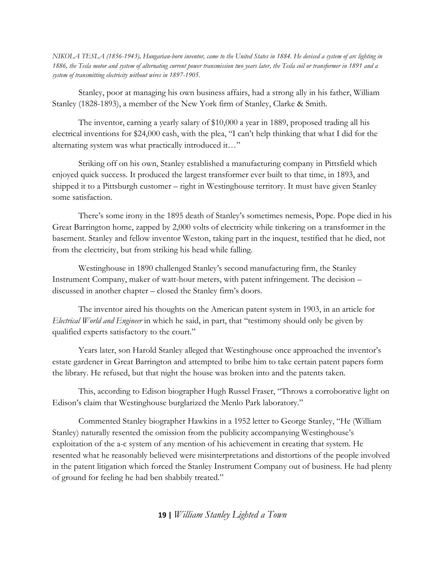*NIKOLA TESLA (1856-1943), Hungarian-born inventor, came to the United States in 1884. He devised a system of arc lighting in 1886, the Tesla motor and system of alternating current power transmission two years later, the Tesla coil or transformer in 1891 and a system of transmitting electricity without wires in 1897-1905.*

Stanley, poor at managing his own business affairs, had a strong ally in his father, William Stanley (1828-1893), a member of the New York firm of Stanley, Clarke & Smith.

The inventor, earning a yearly salary of \$10,000 a year in 1889, proposed trading all his electrical inventions for \$24,000 cash, with the plea, "I can't help thinking that what I did for the alternating system was what practically introduced it…"

Striking off on his own, Stanley established a manufacturing company in Pittsfield which enjoyed quick success. It produced the largest transformer ever built to that time, in 1893, and shipped it to a Pittsburgh customer – right in Westinghouse territory. It must have given Stanley some satisfaction.

There's some irony in the 1895 death of Stanley's sometimes nemesis, Pope. Pope died in his Great Barrington home, zapped by 2,000 volts of electricity while tinkering on a transformer in the basement. Stanley and fellow inventor Weston, taking part in the inquest, testified that he died, not from the electricity, but from striking his head while falling.

Westinghouse in 1890 challenged Stanley's second manufacturing firm, the Stanley Instrument Company, maker of watt-hour meters, with patent infringement. The decision – discussed in another chapter – closed the Stanley firm's doors.

The inventor aired his thoughts on the American patent system in 1903, in an article for *Electrical World and Engineer* in which he said, in part, that "testimony should only be given by qualified experts satisfactory to the court."

Years later, son Harold Stanley alleged that Westinghouse once approached the inventor's estate gardener in Great Barrington and attempted to bribe him to take certain patent papers form the library. He refused, but that night the house was broken into and the patents taken.

This, according to Edison biographer Hugh Russel Fraser, "Throws a corroborative light on Edison's claim that Westinghouse burglarized the Menlo Park laboratory."

Commented Stanley biographer Hawkins in a 1952 letter to George Stanley, "He (William Stanley) naturally resented the omission from the publicity accompanying Westinghouse's exploitation of the a-c system of any mention of his achievement in creating that system. He resented what he reasonably believed were misinterpretations and distortions of the people involved in the patent litigation which forced the Stanley Instrument Company out of business. He had plenty of ground for feeling he had ben shabbily treated."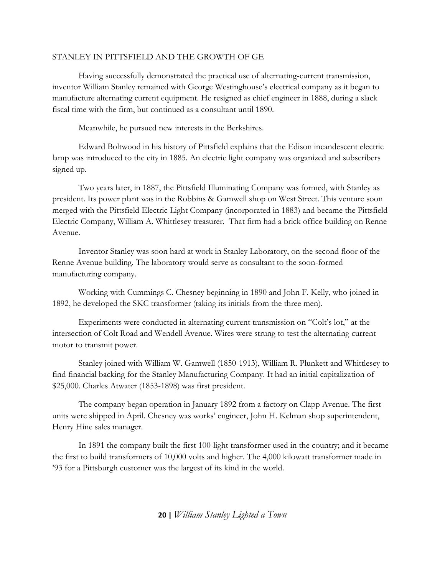## STANLEY IN PITTSFIELD AND THE GROWTH OF GE

Having successfully demonstrated the practical use of alternating-current transmission, inventor William Stanley remained with George Westinghouse's electrical company as it began to manufacture alternating current equipment. He resigned as chief engineer in 1888, during a slack fiscal time with the firm, but continued as a consultant until 1890.

Meanwhile, he pursued new interests in the Berkshires.

Edward Boltwood in his history of Pittsfield explains that the Edison incandescent electric lamp was introduced to the city in 1885. An electric light company was organized and subscribers signed up.

Two years later, in 1887, the Pittsfield Illuminating Company was formed, with Stanley as president. Its power plant was in the Robbins & Gamwell shop on West Street. This venture soon merged with the Pittsfield Electric Light Company (incorporated in 1883) and became the Pittsfield Electric Company, William A. Whittlesey treasurer. That firm had a brick office building on Renne Avenue.

Inventor Stanley was soon hard at work in Stanley Laboratory, on the second floor of the Renne Avenue building. The laboratory would serve as consultant to the soon-formed manufacturing company.

Working with Cummings C. Chesney beginning in 1890 and John F. Kelly, who joined in 1892, he developed the SKC transformer (taking its initials from the three men).

Experiments were conducted in alternating current transmission on "Colt's lot," at the intersection of Colt Road and Wendell Avenue. Wires were strung to test the alternating current motor to transmit power.

Stanley joined with William W. Gamwell (1850-1913), William R. Plunkett and Whittlesey to find financial backing for the Stanley Manufacturing Company. It had an initial capitalization of \$25,000. Charles Atwater (1853-1898) was first president.

The company began operation in January 1892 from a factory on Clapp Avenue. The first units were shipped in April. Chesney was works' engineer, John H. Kelman shop superintendent, Henry Hine sales manager.

In 1891 the company built the first 100-light transformer used in the country; and it became the first to build transformers of 10,000 volts and higher. The 4,000 kilowatt transformer made in '93 for a Pittsburgh customer was the largest of its kind in the world.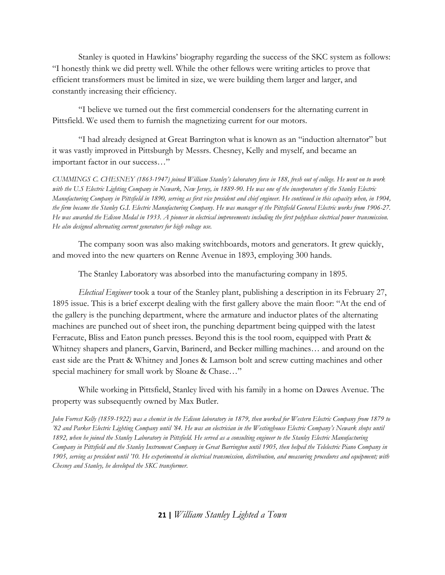Stanley is quoted in Hawkins' biography regarding the success of the SKC system as follows: "I honestly think we did pretty well. While the other fellows were writing articles to prove that efficient transformers must be limited in size, we were building them larger and larger, and constantly increasing their efficiency.

"I believe we turned out the first commercial condensers for the alternating current in Pittsfield. We used them to furnish the magnetizing current for our motors.

"I had already designed at Great Barrington what is known as an "induction alternator" but it was vastly improved in Pittsburgh by Messrs. Chesney, Kelly and myself, and became an important factor in our success…"

*CUMMINGS C. CHESNEY (1863-1947) joined William Stanley's laboratory force in 188, fresh out of college. He went on to work with the U.S Electric Lighting Company in Newark, New Jersey, in 1889-90. He was one of the incorporators of the Stanley Electric Manufacturing Company in Pittsfield in 1890, serving as first vice president and chief engineer. He continued in this capacity when, in 1904, the firm became the Stanley G.I. Electric Manufacturing Company. He was manager of the Pittsfield General Electric works from 1906-27. He was awarded the Edison Medal in 1933. A pioneer in electrical improvements including the first polyphase electrical power transmission. He also designed alternating current generators for high voltage use.*

The company soon was also making switchboards, motors and generators. It grew quickly, and moved into the new quarters on Renne Avenue in 1893, employing 300 hands.

The Stanley Laboratory was absorbed into the manufacturing company in 1895.

*Electical Engineer* took a tour of the Stanley plant, publishing a description in its February 27, 1895 issue. This is a brief excerpt dealing with the first gallery above the main floor: "At the end of the gallery is the punching department, where the armature and inductor plates of the alternating machines are punched out of sheet iron, the punching department being quipped with the latest Ferracute, Bliss and Eaton punch presses. Beyond this is the tool room, equipped with Pratt & Whitney shapers and planers, Garvin, Barinerd, and Becker milling machines… and around on the east side are the Pratt & Whitney and Jones & Lamson bolt and screw cutting machines and other special machinery for small work by Sloane & Chase…"

While working in Pittsfield, Stanley lived with his family in a home on Dawes Avenue. The property was subsequently owned by Max Butler.

*John Forrest Kelly (1859-1922) was a chemist in the Edison laboratory in 1879, then worked for Western Electric Company from 1879 to '82 and Parker Electric Lighting Company until '84. He was an electrician in the Westinghouse Electric Company's Newark shops until 1892, when he joined the Stanley Laboratory in Pittsfield. He served as a consulting engineer to the Stanley Electric Manufacturing Company in Pittsfield and the Stanley Instrument Company in Great Barrington until 1905, then helped the Telelectric Piano Company in*  1905, serving as president until '10. He experimented in electrical transmission, distribution, and measuring procedures and equipment; with *Chesney and Stanley, he developed the SKC transformer.*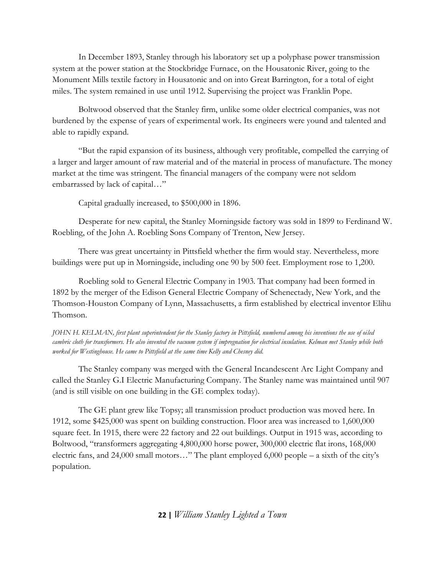In December 1893, Stanley through his laboratory set up a polyphase power transmission system at the power station at the Stockbridge Furnace, on the Housatonic River, going to the Monument Mills textile factory in Housatonic and on into Great Barrington, for a total of eight miles. The system remained in use until 1912. Supervising the project was Franklin Pope.

Boltwood observed that the Stanley firm, unlike some older electrical companies, was not burdened by the expense of years of experimental work. Its engineers were yound and talented and able to rapidly expand.

"But the rapid expansion of its business, although very profitable, compelled the carrying of a larger and larger amount of raw material and of the material in process of manufacture. The money market at the time was stringent. The financial managers of the company were not seldom embarrassed by lack of capital…"

Capital gradually increased, to \$500,000 in 1896.

Desperate for new capital, the Stanley Morningside factory was sold in 1899 to Ferdinand W. Roebling, of the John A. Roebling Sons Company of Trenton, New Jersey.

There was great uncertainty in Pittsfield whether the firm would stay. Nevertheless, more buildings were put up in Morningside, including one 90 by 500 feet. Employment rose to 1,200.

Roebling sold to General Electric Company in 1903. That company had been formed in 1892 by the merger of the Edison General Electric Company of Schenectady, New York, and the Thomson-Houston Company of Lynn, Massachusetts, a firm established by electrical inventor Elihu Thomson.

*JOHN H. KELMAN, first plant superintendent for the Stanley factory in Pittsfield, numbered among his inventions the use of oiled cambric cloth for transformers. He also invented the vacuum system if impregnation for electrical insulation. Kelman met Stanley while both worked for Westinghouse. He came to Pittsfield at the same time Kelly and Chesney did.*

The Stanley company was merged with the General Incandescent Arc Light Company and called the Stanley G.I Electric Manufacturing Company. The Stanley name was maintained until 907 (and is still visible on one building in the GE complex today).

The GE plant grew like Topsy; all transmission product production was moved here. In 1912, some \$425,000 was spent on building construction. Floor area was increased to 1,600,000 square feet. In 1915, there were 22 factory and 22 out buildings. Output in 1915 was, according to Boltwood, "transformers aggregating 4,800,000 horse power, 300,000 electric flat irons, 168,000 electric fans, and 24,000 small motors…" The plant employed 6,000 people – a sixth of the city's population.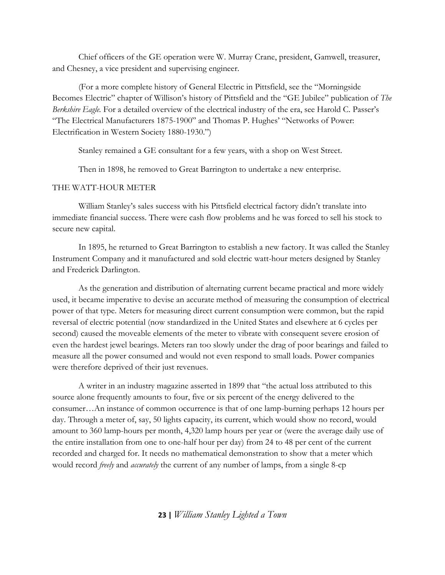Chief officers of the GE operation were W. Murray Crane, president, Gamwell, treasurer, and Chesney, a vice president and supervising engineer.

(For a more complete history of General Electric in Pittsfield, see the "Morningside Becomes Electric" chapter of Willison's history of Pittsfield and the "GE Jubilee" publication of *The Berkshire Eagle.* For a detailed overview of the electrical industry of the era, see Harold C. Passer's "The Electrical Manufacturers 1875-1900" and Thomas P. Hughes' "Networks of Power: Electrification in Western Society 1880-1930.")

Stanley remained a GE consultant for a few years, with a shop on West Street.

Then in 1898, he removed to Great Barrington to undertake a new enterprise.

## THE WATT-HOUR METER

William Stanley's sales success with his Pittsfield electrical factory didn't translate into immediate financial success. There were cash flow problems and he was forced to sell his stock to secure new capital.

In 1895, he returned to Great Barrington to establish a new factory. It was called the Stanley Instrument Company and it manufactured and sold electric watt-hour meters designed by Stanley and Frederick Darlington.

As the generation and distribution of alternating current became practical and more widely used, it became imperative to devise an accurate method of measuring the consumption of electrical power of that type. Meters for measuring direct current consumption were common, but the rapid reversal of electric potential (now standardized in the United States and elsewhere at 6 cycles per second) caused the moveable elements of the meter to vibrate with consequent severe erosion of even the hardest jewel bearings. Meters ran too slowly under the drag of poor bearings and failed to measure all the power consumed and would not even respond to small loads. Power companies were therefore deprived of their just revenues.

A writer in an industry magazine asserted in 1899 that "the actual loss attributed to this source alone frequently amounts to four, five or six percent of the energy delivered to the consumer…An instance of common occurrence is that of one lamp-burning perhaps 12 hours per day. Through a meter of, say, 50 lights capacity, its current, which would show no record, would amount to 360 lamp-hours per month, 4,320 lamp hours per year or (were the average daily use of the entire installation from one to one-half hour per day) from 24 to 48 per cent of the current recorded and charged for. It needs no mathematical demonstration to show that a meter which would record *freely* and *accurately* the current of any number of lamps, from a single 8-cp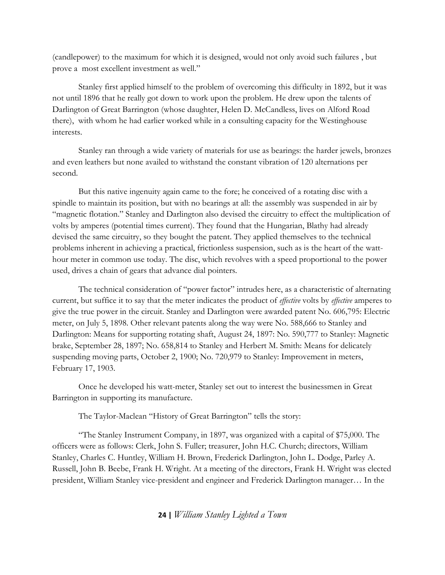(candlepower) to the maximum for which it is designed, would not only avoid such failures , but prove a most excellent investment as well."

Stanley first applied himself to the problem of overcoming this difficulty in 1892, but it was not until 1896 that he really got down to work upon the problem. He drew upon the talents of Darlington of Great Barrington (whose daughter, Helen D. McCandless, lives on Alford Road there), with whom he had earlier worked while in a consulting capacity for the Westinghouse interests.

Stanley ran through a wide variety of materials for use as bearings: the harder jewels, bronzes and even leathers but none availed to withstand the constant vibration of 120 alternations per second.

But this native ingenuity again came to the fore; he conceived of a rotating disc with a spindle to maintain its position, but with no bearings at all: the assembly was suspended in air by "magnetic flotation." Stanley and Darlington also devised the circuitry to effect the multiplication of volts by amperes (potential times current). They found that the Hungarian, Blathy had already devised the same circuitry, so they bought the patent. They applied themselves to the technical problems inherent in achieving a practical, frictionless suspension, such as is the heart of the watthour meter in common use today. The disc, which revolves with a speed proportional to the power used, drives a chain of gears that advance dial pointers.

The technical consideration of "power factor" intrudes here, as a characteristic of alternating current, but suffice it to say that the meter indicates the product of *effective* volts by *effective* amperes to give the true power in the circuit. Stanley and Darlington were awarded patent No. 606,795: Electric meter, on July 5, 1898. Other relevant patents along the way were No. 588,666 to Stanley and Darlington: Means for supporting rotating shaft, August 24, 1897: No. 590,777 to Stanley: Magnetic brake, September 28, 1897; No. 658,814 to Stanley and Herbert M. Smith: Means for delicately suspending moving parts, October 2, 1900; No. 720,979 to Stanley: Improvement in meters, February 17, 1903.

Once he developed his watt-meter, Stanley set out to interest the businessmen in Great Barrington in supporting its manufacture.

The Taylor-Maclean "History of Great Barrington" tells the story:

"The Stanley Instrument Company, in 1897, was organized with a capital of \$75,000. The officers were as follows: Clerk, John S. Fuller; treasurer, John H.C. Church; directors, William Stanley, Charles C. Huntley, William H. Brown, Frederick Darlington, John L. Dodge, Parley A. Russell, John B. Beebe, Frank H. Wright. At a meeting of the directors, Frank H. Wright was elected president, William Stanley vice-president and engineer and Frederick Darlington manager… In the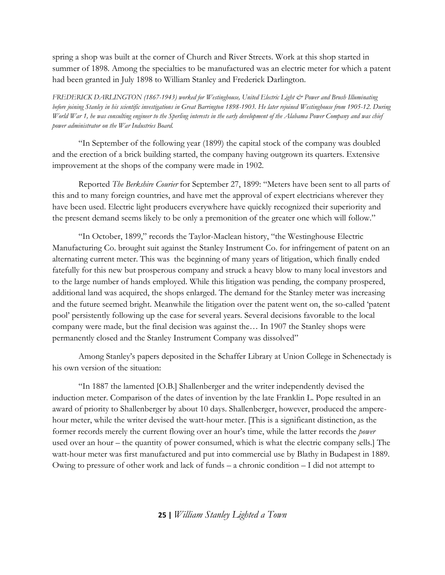spring a shop was built at the corner of Church and River Streets. Work at this shop started in summer of 1898. Among the specialties to be manufactured was an electric meter for which a patent had been granted in July 1898 to William Stanley and Frederick Darlington.

*FREDERICK DARLINGTON (1867-1943) worked for Westinghouse, United Electric Light & Power and Brush Illuminating before joining Stanley in his scientific investigations in Great Barrington 1898-1903. He later rejoined Westinghouse from 1905-12. During World War 1, he was consulting engineer to the Sperling interests in the early development of the Alabama Power Company and was chief power administrator on the War Industries Board.*

"In September of the following year (1899) the capital stock of the company was doubled and the erection of a brick building started, the company having outgrown its quarters. Extensive improvement at the shops of the company were made in 1902.

Reported *The Berkshire Courier* for September 27, 1899: "Meters have been sent to all parts of this and to many foreign countries, and have met the approval of expert electricians wherever they have been used. Electric light producers everywhere have quickly recognized their superiority and the present demand seems likely to be only a premonition of the greater one which will follow."

"In October, 1899," records the Taylor-Maclean history, "the Westinghouse Electric Manufacturing Co. brought suit against the Stanley Instrument Co. for infringement of patent on an alternating current meter. This was the beginning of many years of litigation, which finally ended fatefully for this new but prosperous company and struck a heavy blow to many local investors and to the large number of hands employed. While this litigation was pending, the company prospered, additional land was acquired, the shops enlarged. The demand for the Stanley meter was increasing and the future seemed bright. Meanwhile the litigation over the patent went on, the so-called 'patent pool' persistently following up the case for several years. Several decisions favorable to the local company were made, but the final decision was against the… In 1907 the Stanley shops were permanently closed and the Stanley Instrument Company was dissolved"

Among Stanley's papers deposited in the Schaffer Library at Union College in Schenectady is his own version of the situation:

"In 1887 the lamented [O.B.] Shallenberger and the writer independently devised the induction meter. Comparison of the dates of invention by the late Franklin L. Pope resulted in an award of priority to Shallenberger by about 10 days. Shallenberger, however, produced the amperehour meter, while the writer devised the watt-hour meter. [This is a significant distinction, as the former records merely the current flowing over an hour's time, while the latter records the *power* used over an hour – the quantity of power consumed, which is what the electric company sells.] The watt-hour meter was first manufactured and put into commercial use by Blathy in Budapest in 1889. Owing to pressure of other work and lack of funds – a chronic condition – I did not attempt to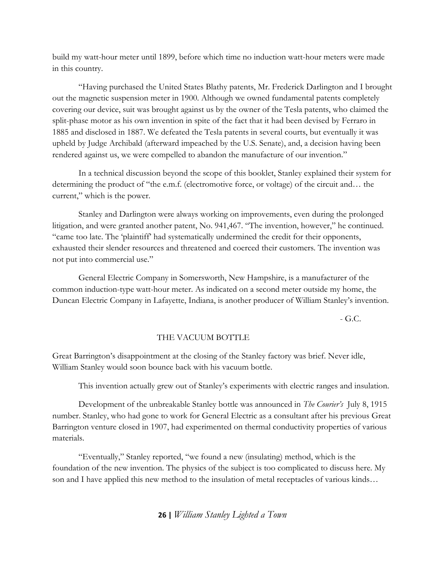build my watt-hour meter until 1899, before which time no induction watt-hour meters were made in this country.

"Having purchased the United States Blathy patents, Mr. Frederick Darlington and I brought out the magnetic suspension meter in 1900. Although we owned fundamental patents completely covering our device, suit was brought against us by the owner of the Tesla patents, who claimed the split-phase motor as his own invention in spite of the fact that it had been devised by Ferraro in 1885 and disclosed in 1887. We defeated the Tesla patents in several courts, but eventually it was upheld by Judge Archibald (afterward impeached by the U.S. Senate), and, a decision having been rendered against us, we were compelled to abandon the manufacture of our invention."

In a technical discussion beyond the scope of this booklet, Stanley explained their system for determining the product of "the e.m.f. (electromotive force, or voltage) of the circuit and… the current," which is the power.

Stanley and Darlington were always working on improvements, even during the prolonged litigation, and were granted another patent, No. 941,467. "The invention, however," he continued. "came too late. The 'plaintiff' had systematically undermined the credit for their opponents, exhausted their slender resources and threatened and coerced their customers. The invention was not put into commercial use."

General Electric Company in Somersworth, New Hampshire, is a manufacturer of the common induction-type watt-hour meter. As indicated on a second meter outside my home, the Duncan Electric Company in Lafayette, Indiana, is another producer of William Stanley's invention.

 $-G.C.$ 

## THE VACUUM BOTTLE

Great Barrington's disappointment at the closing of the Stanley factory was brief. Never idle, William Stanley would soon bounce back with his vacuum bottle.

This invention actually grew out of Stanley's experiments with electric ranges and insulation.

Development of the unbreakable Stanley bottle was announced in *The Courier's* July 8, 1915 number. Stanley, who had gone to work for General Electric as a consultant after his previous Great Barrington venture closed in 1907, had experimented on thermal conductivity properties of various materials.

"Eventually," Stanley reported, "we found a new (insulating) method, which is the foundation of the new invention. The physics of the subject is too complicated to discuss here. My son and I have applied this new method to the insulation of metal receptacles of various kinds…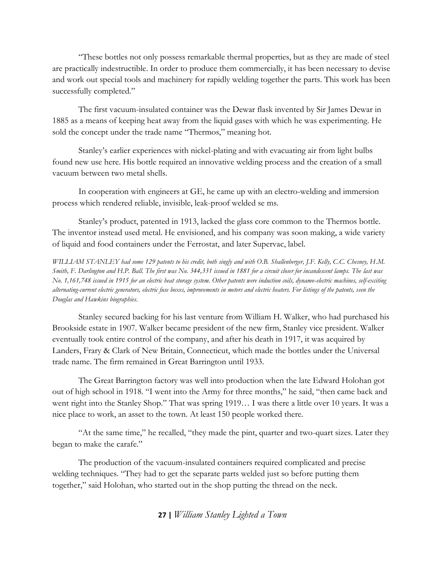"These bottles not only possess remarkable thermal properties, but as they are made of steel are practically indestructible. In order to produce them commercially, it has been necessary to devise and work out special tools and machinery for rapidly welding together the parts. This work has been successfully completed."

The first vacuum-insulated container was the Dewar flask invented by Sir James Dewar in 1885 as a means of keeping heat away from the liquid gases with which he was experimenting. He sold the concept under the trade name "Thermos," meaning hot.

Stanley's earlier experiences with nickel-plating and with evacuating air from light bulbs found new use here. His bottle required an innovative welding process and the creation of a small vacuum between two metal shells.

In cooperation with engineers at GE, he came up with an electro-welding and immersion process which rendered reliable, invisible, leak-proof welded se ms.

Stanley's product, patented in 1913, lacked the glass core common to the Thermos bottle. The inventor instead used metal. He envisioned, and his company was soon making, a wide variety of liquid and food containers under the Ferrostat, and later Supervac, label.

*WILLIAM STANLEY had some 129 patents to his credit, both singly and with O.B. Shallenberger, J.F. Kelly, C.C. Chesney, H.M. Smith, F. Darlington and H.P. Ball. The first was No. 344,331 issued in 1881 for a circuit closer for incandescent lamps. The last was No. 1,161,748 issued in 1915 for an electric heat storage system. Other patents were induction coils, dynamo-electric machines, self-exciting alternating-current electric generators, electric fuse boxes, improvements in meters and electric heaters. For listings of the patents, seen the Douglas and Hawkins biographies.* 

Stanley secured backing for his last venture from William H. Walker, who had purchased his Brookside estate in 1907. Walker became president of the new firm, Stanley vice president. Walker eventually took entire control of the company, and after his death in 1917, it was acquired by Landers, Frary & Clark of New Britain, Connecticut, which made the bottles under the Universal trade name. The firm remained in Great Barrington until 1933.

The Great Barrington factory was well into production when the late Edward Holohan got out of high school in 1918. "I went into the Army for three months," he said, "then came back and went right into the Stanley Shop." That was spring 1919… I was there a little over 10 years. It was a nice place to work, an asset to the town. At least 150 people worked there.

"At the same time," he recalled, "they made the pint, quarter and two-quart sizes. Later they began to make the carafe."

The production of the vacuum-insulated containers required complicated and precise welding techniques. "They had to get the separate parts welded just so before putting them together," said Holohan, who started out in the shop putting the thread on the neck.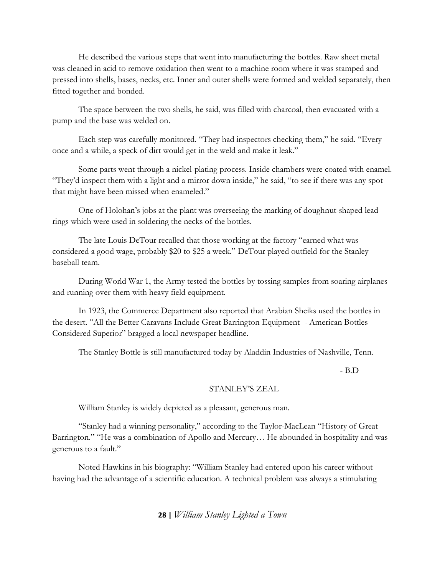He described the various steps that went into manufacturing the bottles. Raw sheet metal was cleaned in acid to remove oxidation then went to a machine room where it was stamped and pressed into shells, bases, necks, etc. Inner and outer shells were formed and welded separately, then fitted together and bonded.

The space between the two shells, he said, was filled with charcoal, then evacuated with a pump and the base was welded on.

Each step was carefully monitored. "They had inspectors checking them," he said. "Every once and a while, a speck of dirt would get in the weld and make it leak."

Some parts went through a nickel-plating process. Inside chambers were coated with enamel. "They'd inspect them with a light and a mirror down inside," he said, "to see if there was any spot that might have been missed when enameled."

One of Holohan's jobs at the plant was overseeing the marking of doughnut-shaped lead rings which were used in soldering the necks of the bottles.

The late Louis DeTour recalled that those working at the factory "earned what was considered a good wage, probably \$20 to \$25 a week." DeTour played outfield for the Stanley baseball team.

During World War 1, the Army tested the bottles by tossing samples from soaring airplanes and running over them with heavy field equipment.

In 1923, the Commerce Department also reported that Arabian Sheiks used the bottles in the desert. "All the Better Caravans Include Great Barrington Equipment - American Bottles Considered Superior" bragged a local newspaper headline.

The Stanley Bottle is still manufactured today by Aladdin Industries of Nashville, Tenn.

- B.D

### STANLEY'S ZEAL

William Stanley is widely depicted as a pleasant, generous man.

"Stanley had a winning personality," according to the Taylor-MacLean "History of Great Barrington." "He was a combination of Apollo and Mercury… He abounded in hospitality and was generous to a fault."

Noted Hawkins in his biography: "William Stanley had entered upon his career without having had the advantage of a scientific education. A technical problem was always a stimulating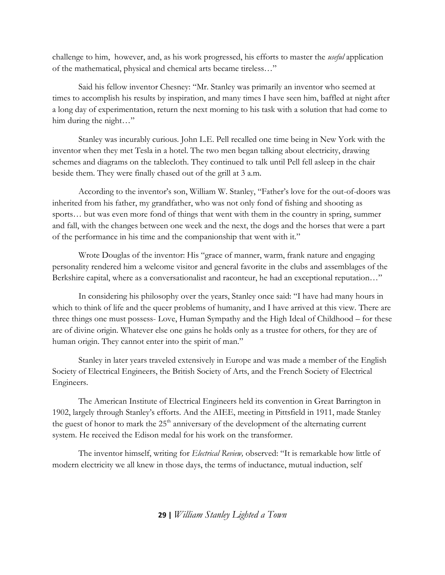challenge to him, however, and, as his work progressed, his efforts to master the *useful* application of the mathematical, physical and chemical arts became tireless…"

Said his fellow inventor Chesney: "Mr. Stanley was primarily an inventor who seemed at times to accomplish his results by inspiration, and many times I have seen him, baffled at night after a long day of experimentation, return the next morning to his task with a solution that had come to him during the night..."

Stanley was incurably curious. John L.E. Pell recalled one time being in New York with the inventor when they met Tesla in a hotel. The two men began talking about electricity, drawing schemes and diagrams on the tablecloth. They continued to talk until Pell fell asleep in the chair beside them. They were finally chased out of the grill at 3 a.m.

According to the inventor's son, William W. Stanley, "Father's love for the out-of-doors was inherited from his father, my grandfather, who was not only fond of fishing and shooting as sports… but was even more fond of things that went with them in the country in spring, summer and fall, with the changes between one week and the next, the dogs and the horses that were a part of the performance in his time and the companionship that went with it."

Wrote Douglas of the inventor: His "grace of manner, warm, frank nature and engaging personality rendered him a welcome visitor and general favorite in the clubs and assemblages of the Berkshire capital, where as a conversationalist and raconteur, he had an exceptional reputation…"

In considering his philosophy over the years, Stanley once said: "I have had many hours in which to think of life and the queer problems of humanity, and I have arrived at this view. There are three things one must possess- Love, Human Sympathy and the High Ideal of Childhood – for these are of divine origin. Whatever else one gains he holds only as a trustee for others, for they are of human origin. They cannot enter into the spirit of man."

Stanley in later years traveled extensively in Europe and was made a member of the English Society of Electrical Engineers, the British Society of Arts, and the French Society of Electrical Engineers.

The American Institute of Electrical Engineers held its convention in Great Barrington in 1902, largely through Stanley's efforts. And the AIEE, meeting in Pittsfield in 1911, made Stanley the guest of honor to mark the  $25<sup>th</sup>$  anniversary of the development of the alternating current system. He received the Edison medal for his work on the transformer.

The inventor himself, writing for *Electrical Review,* observed: "It is remarkable how little of modern electricity we all knew in those days, the terms of inductance, mutual induction, self